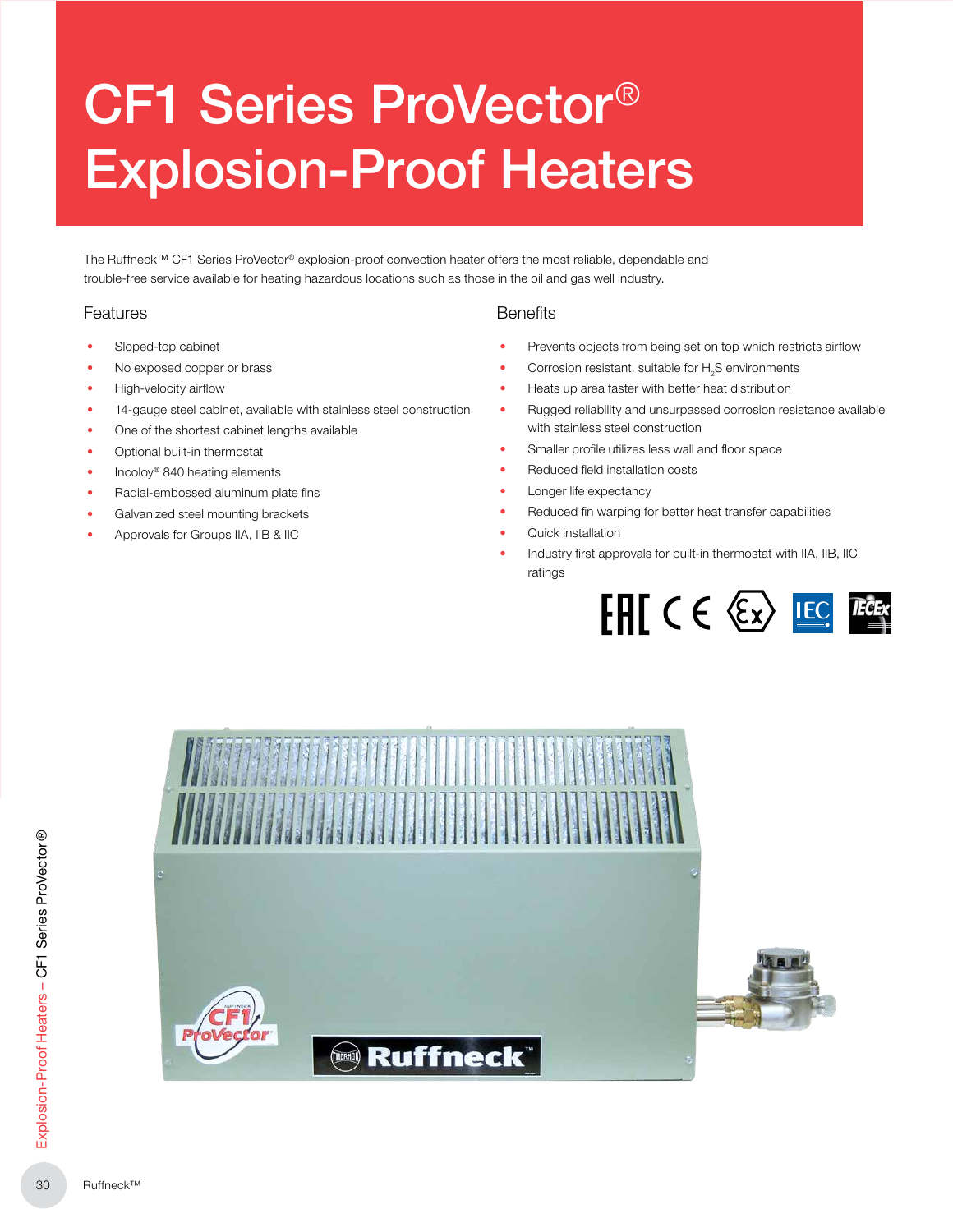# CF1 Series ProVector® Explosion-Proof Heaters

The Ruffneck™ CF1 Series ProVector® explosion-proof convection heater offers the most reliable, dependable and trouble‑free service available for heating hazardous locations such as those in the oil and gas well industry.

#### Features

- Sloped-top cabinet
- No exposed copper or brass
- High-velocity airflow
- 14-gauge steel cabinet, available with stainless steel construction
- One of the shortest cabinet lengths available
- Optional built-in thermostat
- Incoloy<sup>®</sup> 840 heating elements
- Radial-embossed aluminum plate fins
- Galvanized steel mounting brackets
- Approvals for Groups IIA, IIB & IIC

#### **Benefits**

- Prevents objects from being set on top which restricts airflow
- Corrosion resistant, suitable for  $H<sub>2</sub>$ S environments
- Heats up area faster with better heat distribution
- Rugged reliability and unsurpassed corrosion resistance available with stainless steel construction
- Smaller profile utilizes less wall and floor space
- Reduced field installation costs
- Longer life expectancy
- Reduced fin warping for better heat transfer capabilities
- Quick installation
- Industry first approvals for built-in thermostat with IIA, IIB, IIC ratings



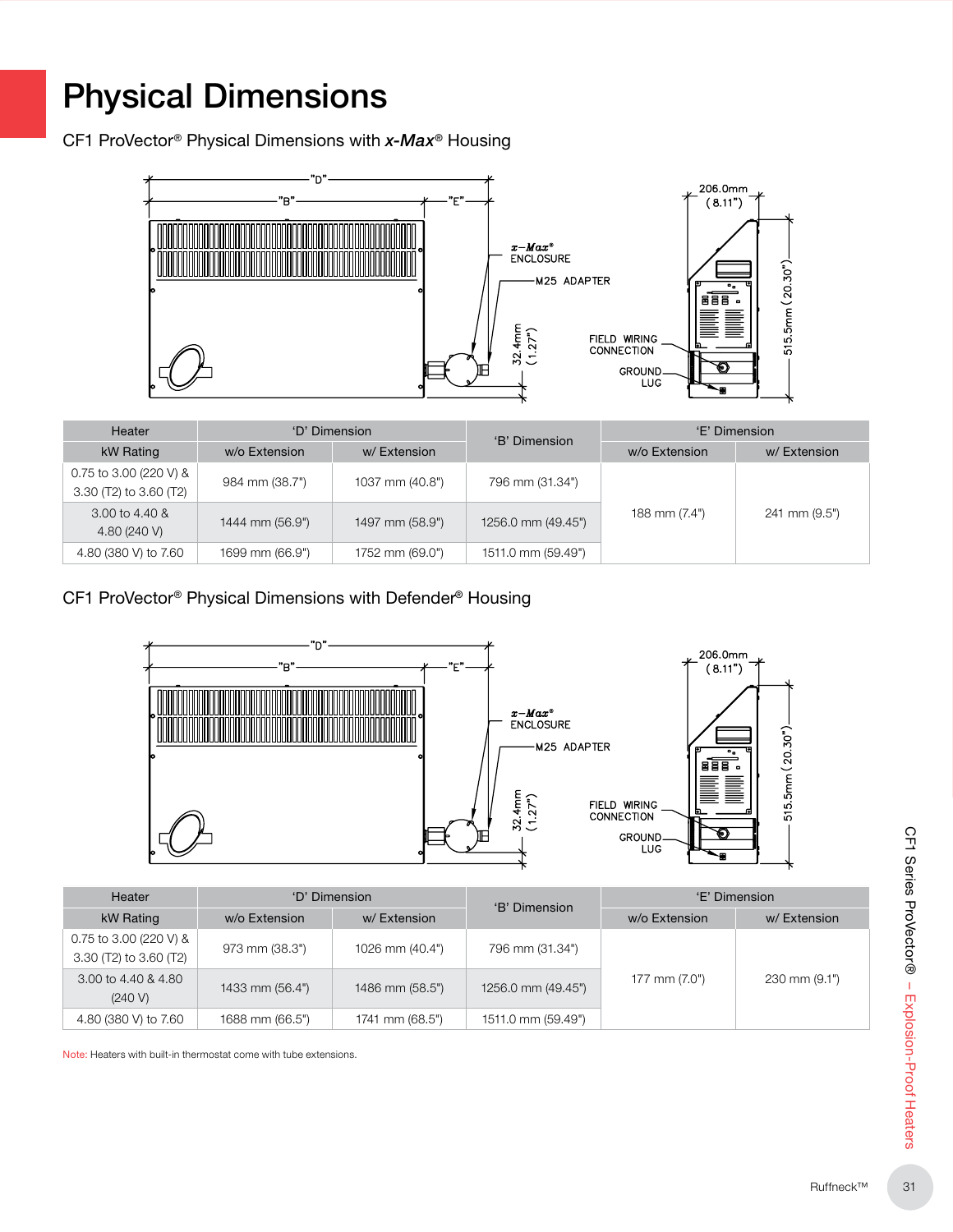## Physical Dimensions

CF1 ProVector® Physical Dimensions with *x-Max®* Housing



| <b>Heater</b>                                    | 'D' Dimension     |                 | 'B' Dimension      | 'E' Dimension |               |  |  |
|--------------------------------------------------|-------------------|-----------------|--------------------|---------------|---------------|--|--|
| kW Rating                                        | w/o Extension     | w/Extension     |                    | w/o Extension | w/Extension   |  |  |
| 0.75 to 3.00 (220 V) &<br>3.30 (T2) to 3.60 (T2) | 984 mm (38.7")    | 1037 mm (40.8") | 796 mm (31.34")    |               |               |  |  |
| 3.00 to 4.40 &<br>4.80 (240 V)                   | 1444 mm $(56.9")$ | 1497 mm (58.9") | 1256.0 mm (49.45") | 188 mm (7.4") | 241 mm (9.5") |  |  |
| 4.80 (380 V) to 7.60                             | 1699 mm (66.9")   | 1752 mm (69.0") | 1511.0 mm (59.49") |               |               |  |  |

CF1 ProVector® Physical Dimensions with Defender*®* Housing



|                 | 'D' Dimension   |                    | 'E' Dimension |               |
|-----------------|-----------------|--------------------|---------------|---------------|
| w/o Extension   | w/Extension     | 'B' Dimension      | w/o Extension | w/Extension   |
| 973 mm (38.3")  | 1026 mm (40.4") | 796 mm (31.34")    |               |               |
| 1433 mm (56.4") | 1486 mm (58.5") | 1256.0 mm (49.45") | 177 mm (7.0") | 230 mm (9.1") |
| 1688 mm (66.5") | 1741 mm (68.5") | 1511.0 mm (59.49") |               |               |
|                 |                 |                    |               |               |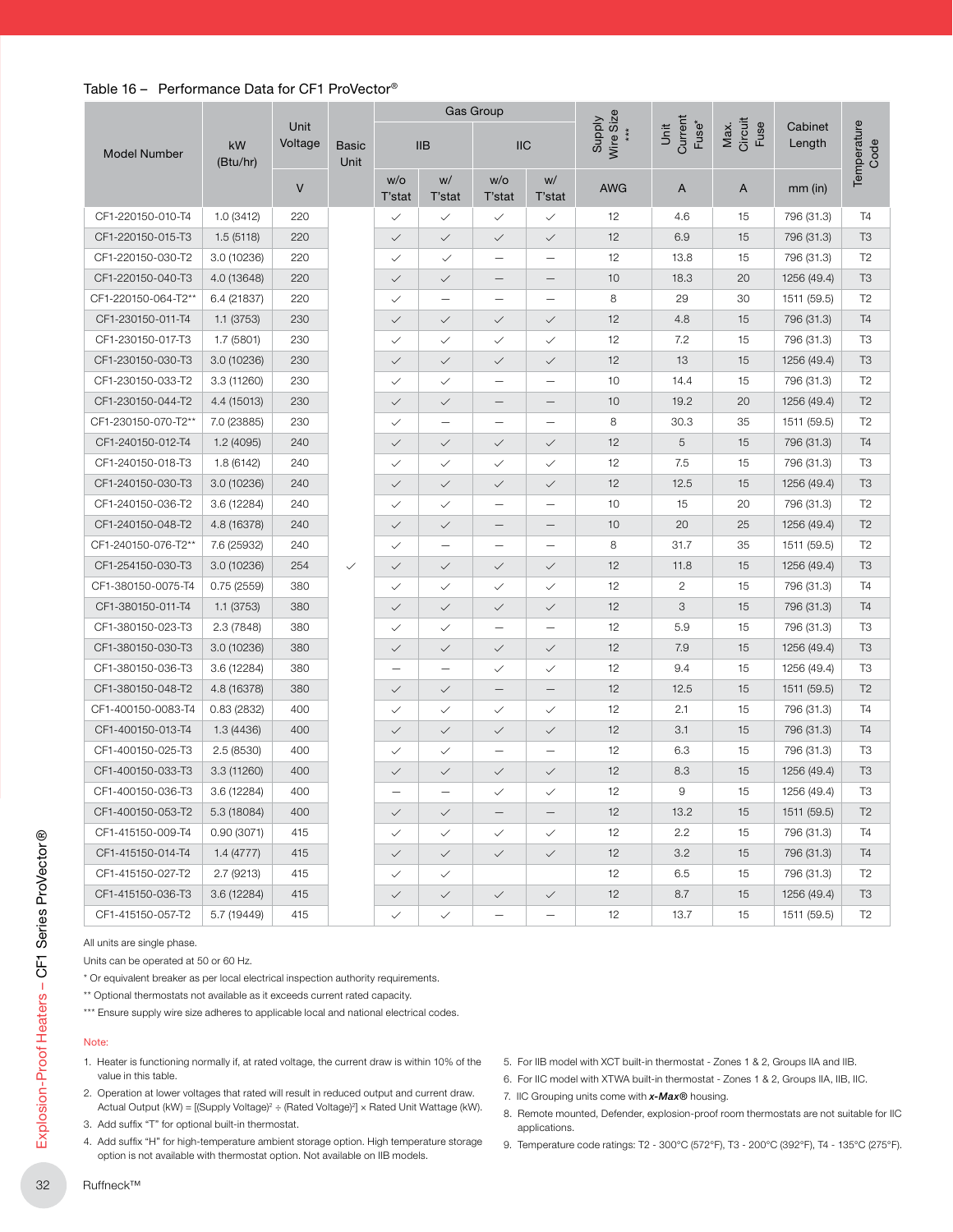#### Table 16 – Performance Data for CF1 ProVector®

|                     |                |                      |                      |                          |                          | Gas Group                |                          |                     |                                      |                         |                   |  |
|---------------------|----------------|----------------------|----------------------|--------------------------|--------------------------|--------------------------|--------------------------|---------------------|--------------------------------------|-------------------------|-------------------|--|
| <b>Model Number</b> | kW<br>(Btu/hr) | Unit<br>Voltage<br>V | <b>Basic</b><br>Unit | IIB                      |                          | <b>IIC</b>               |                          | Wire Size<br>Supply | Current<br>Fuse <sup>*</sup><br>Unit | Max.<br>Circuit<br>Fuse | Cabinet<br>Length |  |
|                     |                |                      |                      | W/O<br>T'stat            | W/<br>T'stat             | W/O<br>T'stat            | W/<br>T'stat             | <b>AWG</b>          | A                                    | A                       | $mm$ (in)         |  |
| CF1-220150-010-T4   | 1.0(3412)      | 220                  |                      | $\checkmark$             | $\checkmark$             | $\checkmark$             | $\checkmark$             | 12                  | 4.6                                  | 15                      | 796 (31.3)        |  |
| CF1-220150-015-T3   | 1.5(5118)      | 220                  |                      | $\checkmark$             | $\checkmark$             | $\checkmark$             | $\checkmark$             | 12                  | 6.9                                  | 15                      | 796 (31.3)        |  |
| CF1-220150-030-T2   | 3.0 (10236)    | 220                  |                      | $\checkmark$             | $\checkmark$             | $\overline{\phantom{0}}$ | $\overline{\phantom{0}}$ | 12                  | 13.8                                 | 15                      | 796 (31.3)        |  |
| CF1-220150-040-T3   | 4.0 (13648)    | 220                  |                      | $\checkmark$             | $\checkmark$             |                          | —                        | 10                  | 18.3                                 | 20                      | 1256 (49.4)       |  |
| CF1-220150-064-T2** | 6.4 (21837)    | 220                  |                      | $\checkmark$             | $\qquad \qquad -$        | $\qquad \qquad -$        | $\overline{\phantom{0}}$ | 8                   | 29                                   | 30                      | 1511 (59.5)       |  |
| CF1-230150-011-T4   | 1.1 (3753)     | 230                  |                      | $\checkmark$             | $\checkmark$             | $\checkmark$             | $\checkmark$             | 12                  | 4.8                                  | 15                      | 796 (31.3)        |  |
| CF1-230150-017-T3   | 1.7 (5801)     | 230                  |                      | $\checkmark$             | $\checkmark$             | $\checkmark$             | $\checkmark$             | 12                  | 7.2                                  | 15                      | 796 (31.3)        |  |
| CF1-230150-030-T3   | 3.0 (10236)    | 230                  |                      | $\checkmark$             | $\checkmark$             | $\checkmark$             | $\checkmark$             | 12                  | 13                                   | 15                      | 1256 (49.4)       |  |
| CF1-230150-033-T2   | 3.3 (11260)    | 230                  |                      | $\checkmark$             | $\checkmark$             | $\overline{\phantom{0}}$ | $\overline{\phantom{0}}$ | 10                  | 14.4                                 | 15                      | 796 (31.3)        |  |
| CF1-230150-044-T2   | 4.4 (15013)    | 230                  |                      | $\checkmark$             | $\checkmark$             | $\qquad \qquad -$        | $\qquad \qquad -$        | 10                  | 19.2                                 | 20                      | 1256 (49.4)       |  |
| CF1-230150-070-T2** | 7.0 (23885)    | 230                  |                      | $\checkmark$             | $\qquad \qquad -$        | $\overline{\phantom{0}}$ | $\overline{\phantom{0}}$ | 8                   | 30.3                                 | 35                      | 1511 (59.5)       |  |
| CF1-240150-012-T4   | 1.2 (4095)     | 240                  |                      | $\checkmark$             | $\checkmark$             | $\checkmark$             | $\checkmark$             | 12                  | 5                                    | 15                      | 796 (31.3)        |  |
| CF1-240150-018-T3   | 1.8 (6142)     | 240                  |                      | $\checkmark$             | $\checkmark$             | $\checkmark$             | $\checkmark$             | 12                  | 7.5                                  | 15                      | 796 (31.3)        |  |
| CF1-240150-030-T3   | 3.0 (10236)    | 240                  |                      | $\checkmark$             | $\checkmark$             | $\checkmark$             | $\checkmark$             | 12                  | 12.5                                 | 15                      | 1256 (49.4)       |  |
| CF1-240150-036-T2   | 3.6 (12284)    | 240                  |                      | $\checkmark$             | $\checkmark$             | $\qquad \qquad -$        | —                        | 10                  | 15                                   | 20                      | 796 (31.3)        |  |
| CF1-240150-048-T2   | 4.8 (16378)    | 240                  |                      | $\checkmark$             | $\checkmark$             |                          | $\overline{\phantom{0}}$ | 10                  | 20                                   | 25                      | 1256 (49.4)       |  |
| CF1-240150-076-T2** | 7.6 (25932)    | 240                  |                      | $\checkmark$             | $\overline{\phantom{m}}$ | $\overline{\phantom{0}}$ | $\overline{\phantom{0}}$ | 8                   | 31.7                                 | 35                      | 1511 (59.5)       |  |
| CF1-254150-030-T3   | 3.0(10236)     | 254                  | $\checkmark$         | $\checkmark$             | $\checkmark$             | $\checkmark$             | $\checkmark$             | 12                  | 11.8                                 | 15                      | 1256 (49.4)       |  |
| CF1-380150-0075-T4  | 0.75(2559)     | 380                  |                      | $\checkmark$             | $\checkmark$             | $\checkmark$             | $\checkmark$             | 12                  | $\overline{2}$                       | 15                      | 796 (31.3)        |  |
| CF1-380150-011-T4   | 1.1 (3753)     | 380                  |                      | $\checkmark$             | $\checkmark$             | $\checkmark$             | $\checkmark$             | 12                  | 3                                    | 15                      | 796 (31.3)        |  |
| CF1-380150-023-T3   | 2.3 (7848)     | 380                  |                      | $\checkmark$             | $\checkmark$             | $\overline{\phantom{0}}$ | $\overline{\phantom{0}}$ | 12                  | 5.9                                  | 15                      | 796 (31.3)        |  |
| CF1-380150-030-T3   | 3.0 (10236)    | 380                  |                      | $\checkmark$             | $\checkmark$             | $\checkmark$             | $\checkmark$             | 12                  | 7.9                                  | 15                      | 1256 (49.4)       |  |
| CF1-380150-036-T3   | 3.6 (12284)    | 380                  |                      | $\overline{\phantom{0}}$ | $\qquad \qquad -$        | $\checkmark$             | $\checkmark$             | 12                  | 9.4                                  | 15                      | 1256 (49.4)       |  |
| CF1-380150-048-T2   | 4.8 (16378)    | 380                  |                      | $\checkmark$             | $\checkmark$             |                          | —                        | 12                  | 12.5                                 | 15                      | 1511 (59.5)       |  |
| CF1-400150-0083-T4  | 0.83(2832)     | 400                  |                      | $\checkmark$             | $\checkmark$             | $\checkmark$             | $\checkmark$             | 12                  | 2.1                                  | 15                      | 796 (31.3)        |  |
| CF1-400150-013-T4   | 1.3 (4436)     | 400                  |                      | $\checkmark$             | $\checkmark$             | $\checkmark$             | $\checkmark$             | 12                  | 3.1                                  | 15                      | 796 (31.3)        |  |
| CF1-400150-025-T3   | 2.5(8530)      | 400                  |                      | $\checkmark$             | $\checkmark$             | $\overline{\phantom{0}}$ | $\overline{\phantom{0}}$ | 12                  | 6.3                                  | 15                      | 796 (31.3)        |  |
| CF1-400150-033-T3   | 3.3(11260)     | 400                  |                      | $\checkmark$             | $\checkmark$             | $\checkmark$             | $\checkmark$             | 12                  | 8.3                                  | 15                      | 1256 (49.4)       |  |
| CF1-400150-036-T3   | 3.6 (12284)    | 400                  |                      | $\overline{\phantom{0}}$ | $\overline{\phantom{0}}$ | $\checkmark$             | $\checkmark$             | 12                  | 9                                    | 15                      | 1256 (49.4)       |  |
| CF1-400150-053-T2   | 5.3 (18084)    | 400                  |                      | $\checkmark$             | $\checkmark$             |                          |                          | 12                  | 13.2                                 | 15                      | 1511 (59.5)       |  |
| CF1-415150-009-T4   | 0.90(3071)     | 415                  |                      | $\checkmark$             | $\checkmark$             | $\checkmark$             | $\checkmark$             | 12                  | 2.2                                  | 15                      | 796 (31.3)        |  |
| CF1-415150-014-T4   | 1.4(4777)      | 415                  |                      | $\checkmark$             | $\checkmark$             | $\checkmark$             | $\checkmark$             | 12                  | 3.2                                  | 15                      | 796 (31.3)        |  |
| CF1-415150-027-T2   | 2.7(9213)      | 415                  |                      | $\checkmark$             | $\checkmark$             |                          |                          | 12                  | 6.5                                  | 15                      | 796 (31.3)        |  |
| CF1-415150-036-T3   | 3.6(12284)     | 415                  |                      | $\checkmark$             | $\checkmark$             | $\checkmark$             | $\checkmark$             | 12                  | 8.7                                  | 15                      | 1256 (49.4)       |  |
| CF1-415150-057-T2   | 5.7 (19449)    | 415                  |                      | $\checkmark$             | $\checkmark$             |                          | —                        | 12                  | 13.7                                 | 15                      | 1511 (59.5)       |  |

#### Note:

- 1. Heater is functioning normally if, at rated voltage, the current draw is within 10% of the value in this table.
- 2. Operation at lower voltages that rated will result in reduced output and current draw. Actual Output (kW) = [(Supply Voltage)<sup>2</sup> ÷ (Rated Voltage)<sup>2</sup>] × Rated Unit Wattage (kW).
- 3. Add suffix "T" for optional built-in thermostat.
- 4. Add suffix "H" for high-temperature ambient storage option. High temperature storage option is not available with thermostat option. Not available on IIB models.
- 5. For IIB model with XCT built-in thermostat Zones 1 & 2, Groups IIA and IIB.
- 6. For IIC model with XTWA built-in thermostat Zones 1 & 2, Groups IIA, IIB, IIC.
- 7. IIC Grouping units come with *x-Max®* housing.
- 8. Remote mounted, Defender, explosion-proof room thermostats are not suitable for IIC applications.
- 9. Temperature code ratings: T2 300°C (572°F), T3 200°C (392°F), T4 135°C (275°F).